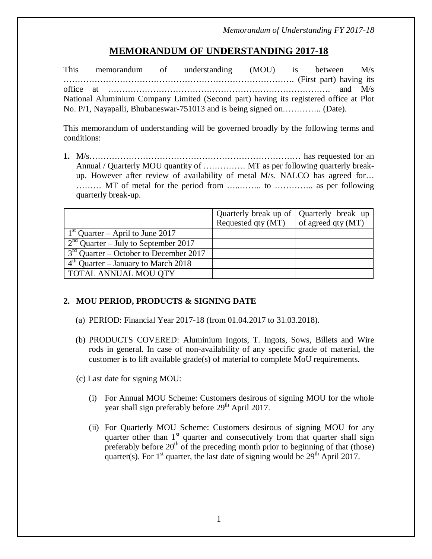# **MEMORANDUM OF UNDERSTANDING 2017-18**

This memorandum of understanding (MOU) is between M/s ………………………………………………………………………. (First part) having its office at ……………………………………………………………………. and M/s National Aluminium Company Limited (Second part) having its registered office at Plot No. P/1, Nayapalli, Bhubaneswar-751013 and is being signed on………….. (Date).

This memorandum of understanding will be governed broadly by the following terms and conditions:

**1.** M/s………………………………………………………………… has requested for an Annual / Quarterly MOU quantity of …………… MT as per following quarterly breakup. However after review of availability of metal M/s. NALCO has agreed for… ……… MT of metal for the period from …..…….. to ………….. as per following quarterly break-up.

|                                          | Quarterly break up of Quarterly break up<br>Requested qty (MT) | of agreed qty (MT) |
|------------------------------------------|----------------------------------------------------------------|--------------------|
| $1st$ Quarter – April to June 2017       |                                                                |                    |
| $2nd$ Quarter – July to September 2017   |                                                                |                    |
| $3rd$ Quarter – October to December 2017 |                                                                |                    |
| $4th$ Quarter – January to March 2018    |                                                                |                    |
| TOTAL ANNUAL MOU QTY                     |                                                                |                    |

# **2. MOU PERIOD, PRODUCTS & SIGNING DATE**

- (a) PERIOD: Financial Year 2017-18 (from 01.04.2017 to 31.03.2018).
- (b) PRODUCTS COVERED: Aluminium Ingots, T. Ingots, Sows, Billets and Wire rods in general. In case of non-availability of any specific grade of material, the customer is to lift available grade(s) of material to complete MoU requirements.
- (c) Last date for signing MOU:
	- (i) For Annual MOU Scheme: Customers desirous of signing MOU for the whole year shall sign preferably before  $29<sup>th</sup>$  April 2017.
	- (ii) For Quarterly MOU Scheme: Customers desirous of signing MOU for any quarter other than  $1<sup>st</sup>$  quarter and consecutively from that quarter shall sign preferably before  $20<sup>th</sup>$  of the preceding month prior to beginning of that (those) quarter(s). For  $1<sup>st</sup>$  quarter, the last date of signing would be  $29<sup>th</sup>$  April 2017.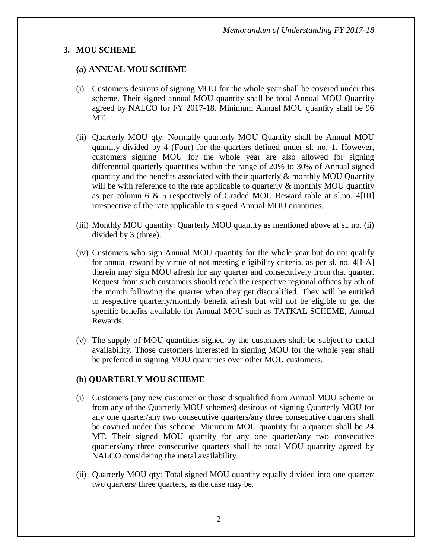### **3. MOU SCHEME**

### **(a) ANNUAL MOU SCHEME**

- (i) Customers desirous of signing MOU for the whole year shall be covered under this scheme. Their signed annual MOU quantity shall be total Annual MOU Quantity agreed by NALCO for FY 2017-18. Minimum Annual MOU quantity shall be 96 MT.
- (ii) Quarterly MOU qty: Normally quarterly MOU Quantity shall be Annual MOU quantity divided by 4 (Four) for the quarters defined under sl. no. 1. However, customers signing MOU for the whole year are also allowed for signing differential quarterly quantities within the range of 20% to 30% of Annual signed quantity and the benefits associated with their quarterly & monthly MOU Quantity will be with reference to the rate applicable to quarterly  $\&$  monthly MOU quantity as per column 6 & 5 respectively of Graded MOU Reward table at sl.no. 4[III] irrespective of the rate applicable to signed Annual MOU quantities.
- (iii) Monthly MOU quantity: Quarterly MOU quantity as mentioned above at sl. no. (ii) divided by 3 (three).
- (iv) Customers who sign Annual MOU quantity for the whole year but do not qualify for annual reward by virtue of not meeting eligibility criteria, as per sl. no. 4[I-A] therein may sign MOU afresh for any quarter and consecutively from that quarter. Request from such customers should reach the respective regional offices by 5th of the month following the quarter when they get disqualified. They will be entitled to respective quarterly/monthly benefit afresh but will not be eligible to get the specific benefits available for Annual MOU such as TATKAL SCHEME, Annual Rewards.
- (v) The supply of MOU quantities signed by the customers shall be subject to metal availability. Those customers interested in signing MOU for the whole year shall be preferred in signing MOU quantities over other MOU customers.

#### **(b) QUARTERLY MOU SCHEME**

- (i) Customers (any new customer or those disqualified from Annual MOU scheme or from any of the Quarterly MOU schemes) desirous of signing Quarterly MOU for any one quarter/any two consecutive quarters/any three consecutive quarters shall be covered under this scheme. Minimum MOU quantity for a quarter shall be 24 MT. Their signed MOU quantity for any one quarter/any two consecutive quarters/any three consecutive quarters shall be total MOU quantity agreed by NALCO considering the metal availability.
- (ii) Quarterly MOU qty: Total signed MOU quantity equally divided into one quarter/ two quarters/ three quarters, as the case may be.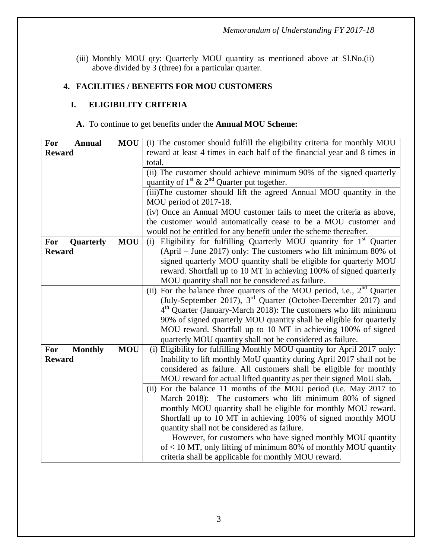(iii) Monthly MOU qty: Quarterly MOU quantity as mentioned above at Sl.No.(ii) above divided by 3 (three) for a particular quarter.

# **4. FACILITIES / BENEFITS FOR MOU CUSTOMERS**

# **I. ELIGIBILITY CRITERIA**

## **A.** To continue to get benefits under the **Annual MOU Scheme:**

| For<br><b>Annual</b>  | <b>MOU</b> | (i) The customer should fulfill the eligibility criteria for monthly MOU   |  |  |
|-----------------------|------------|----------------------------------------------------------------------------|--|--|
| <b>Reward</b>         |            | reward at least 4 times in each half of the financial year and 8 times in  |  |  |
|                       |            | total.                                                                     |  |  |
|                       |            | (ii) The customer should achieve minimum 90% of the signed quarterly       |  |  |
|                       |            | quantity of $1^{st}$ & $2^{nd}$ Quarter put together.                      |  |  |
|                       |            | (iii)The customer should lift the agreed Annual MOU quantity in the        |  |  |
|                       |            | MOU period of 2017-18.                                                     |  |  |
|                       |            | (iv) Once an Annual MOU customer fails to meet the criteria as above,      |  |  |
|                       |            | the customer would automatically cease to be a MOU customer and            |  |  |
|                       |            | would not be entitled for any benefit under the scheme thereafter.         |  |  |
| For<br>Quarterly      | <b>MOU</b> | Eligibility for fulfilling Quarterly MOU quantity for $1st$ Quarter<br>(i) |  |  |
| <b>Reward</b>         |            | $(ApriI - June 2017)$ only: The customers who lift minimum 80% of          |  |  |
|                       |            | signed quarterly MOU quantity shall be eligible for quarterly MOU          |  |  |
|                       |            | reward. Shortfall up to 10 MT in achieving 100% of signed quarterly        |  |  |
|                       |            | MOU quantity shall not be considered as failure.                           |  |  |
|                       |            | (ii) For the balance three quarters of the MOU period, i.e., $2nd$ Quarter |  |  |
|                       |            | (July-September 2017), $3rd$ Quarter (October-December 2017) and           |  |  |
|                       |            | $4th$ Quarter (January-March 2018): The customers who lift minimum         |  |  |
|                       |            | 90% of signed quarterly MOU quantity shall be eligible for quarterly       |  |  |
|                       |            | MOU reward. Shortfall up to 10 MT in achieving 100% of signed              |  |  |
|                       |            | quarterly MOU quantity shall not be considered as failure.                 |  |  |
| <b>Monthly</b><br>For | <b>MOU</b> | (i) Eligibility for fulfilling Monthly MOU quantity for April 2017 only:   |  |  |
| <b>Reward</b>         |            | Inability to lift monthly MoU quantity during April 2017 shall not be      |  |  |
|                       |            | considered as failure. All customers shall be eligible for monthly         |  |  |
|                       |            | MOU reward for actual lifted quantity as per their signed MoU slab.        |  |  |
|                       |            | (ii) For the balance 11 months of the MOU period (i.e. May 2017 to         |  |  |
|                       |            | March 2018): The customers who lift minimum 80% of signed                  |  |  |
|                       |            | monthly MOU quantity shall be eligible for monthly MOU reward.             |  |  |
|                       |            | Shortfall up to 10 MT in achieving 100% of signed monthly MOU              |  |  |
|                       |            | quantity shall not be considered as failure.                               |  |  |
|                       |            | However, for customers who have signed monthly MOU quantity                |  |  |
|                       |            | of $\leq$ 10 MT, only lifting of minimum 80% of monthly MOU quantity       |  |  |
|                       |            | criteria shall be applicable for monthly MOU reward.                       |  |  |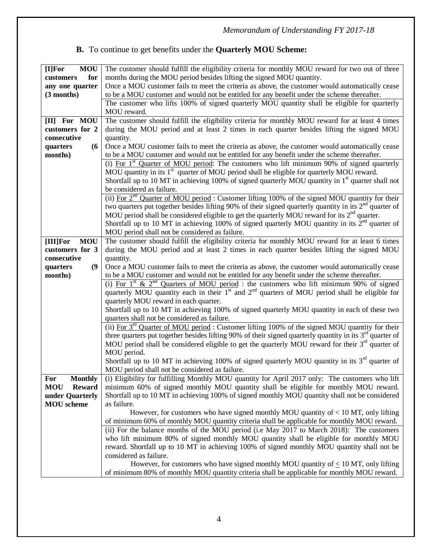# **B.** To continue to get benefits under the **Quarterly MOU Scheme:**

| <b>MOU</b><br>[I] For  | The customer should fulfill the eligibility criteria for monthly MOU reward for two out of three                                                    |  |  |  |
|------------------------|-----------------------------------------------------------------------------------------------------------------------------------------------------|--|--|--|
| for<br>customers       | months during the MOU period besides lifting the signed MOU quantity.                                                                               |  |  |  |
| any one quarter        | Once a MOU customer fails to meet the criteria as above, the customer would automatically cease                                                     |  |  |  |
| (3 months)             | to be a MOU customer and would not be entitled for any benefit under the scheme thereafter.                                                         |  |  |  |
|                        | The customer who lifts 100% of signed quarterly MOU quantity shall be eligible for quarterly                                                        |  |  |  |
|                        | MOU reward.                                                                                                                                         |  |  |  |
| [II] For MOU           | The customer should fulfill the eligibility criteria for monthly MOU reward for at least 4 times                                                    |  |  |  |
| customers for 2        | during the MOU period and at least 2 times in each quarter besides lifting the signed MOU                                                           |  |  |  |
| consecutive            | quantity.                                                                                                                                           |  |  |  |
| (6)<br>quarters        | Once a MOU customer fails to meet the criteria as above, the customer would automatically cease                                                     |  |  |  |
| months)                | to be a MOU customer and would not be entitled for any benefit under the scheme thereafter.                                                         |  |  |  |
|                        | (i) For $1st$ Quarter of MOU period: The customers who lift minimum 90% of signed quarterly                                                         |  |  |  |
|                        | MOU quantity in its 1 <sup>st</sup> quarter of MOU period shall be eligible for quarterly MOU reward.                                               |  |  |  |
|                        | Shortfall up to 10 MT in achieving 100% of signed quarterly MOU quantity in $1st$ quarter shall not                                                 |  |  |  |
|                        | be considered as failure.                                                                                                                           |  |  |  |
|                        | (ii) For $2^{nd}$ Quarter of MOU period: Customer lifting 100% of the signed MOU quantity for their                                                 |  |  |  |
|                        | two quarters put together besides lifting 90% of their signed quarterly quantity in its $2nd$ quarter of                                            |  |  |  |
|                        | MOU period shall be considered eligible to get the quarterly MOU reward for its 2 <sup>nd</sup> quarter.                                            |  |  |  |
|                        | Shortfall up to 10 MT in achieving 100% of signed quarterly MOU quantity in its $2nd$ quarter of                                                    |  |  |  |
|                        | MOU period shall not be considered as failure.                                                                                                      |  |  |  |
| <b>MOU</b><br>[III]For | The customer should fulfill the eligibility criteria for monthly MOU reward for at least 6 times                                                    |  |  |  |
| customers for 3        | during the MOU period and at least 2 times in each quarter besides lifting the signed MOU                                                           |  |  |  |
| consecutive            | quantity.                                                                                                                                           |  |  |  |
| (9)<br>quarters        | Once a MOU customer fails to meet the criteria as above, the customer would automatically cease                                                     |  |  |  |
| months)                | to be a MOU customer and would not be entitled for any benefit under the scheme thereafter.                                                         |  |  |  |
|                        | (i) For $1^{st}$ & $2^{nd}$ Quarters of MOU period: the customers who lift minimum 90% of signed                                                    |  |  |  |
|                        | quarterly MOU quantity each in their $1st$ and $2nd$ quarters of MOU period shall be eligible for                                                   |  |  |  |
|                        | quarterly MOU reward in each quarter.                                                                                                               |  |  |  |
|                        | Shortfall up to 10 MT in achieving 100% of signed quarterly MOU quantity in each of these two                                                       |  |  |  |
|                        | quarters shall not be considered as failure.<br>(ii) For $3^{rd}$ Quarter of MOU period: Customer lifting 100% of the signed MOU quantity for their |  |  |  |
|                        | three quarters put together besides lifting 90% of their signed quarterly quantity in its $3rd$ quarter of                                          |  |  |  |
|                        | MOU period shall be considered eligible to get the quarterly MOU reward for their $3rd$ quarter of                                                  |  |  |  |
|                        | MOU period.                                                                                                                                         |  |  |  |
|                        | Shortfall up to 10 MT in achieving 100% of signed quarterly MOU quantity in its $3rd$ quarter of                                                    |  |  |  |
|                        | MOU period shall not be considered as failure.                                                                                                      |  |  |  |
| <b>Monthly</b><br>For  | (i) Eligibility for fulfilling Monthly MOU quantity for April 2017 only: The customers who lift                                                     |  |  |  |
| MOU<br><b>Reward</b>   | minimum 60% of signed monthly MOU quantity shall be eligible for monthly MOU reward.                                                                |  |  |  |
| under Quarterly        | Shortfall up to 10 MT in achieving 100% of signed monthly MOU quantity shall not be considered                                                      |  |  |  |
| <b>MOU</b> scheme      | as failure.                                                                                                                                         |  |  |  |
|                        | However, for customers who have signed monthly MOU quantity of $< 10$ MT, only lifting                                                              |  |  |  |
|                        | of minimum 60% of monthly MOU quantity criteria shall be applicable for monthly MOU reward.                                                         |  |  |  |
|                        | (ii) For the balance months of the MOU period (i.e May 2017 to March 2018): The customers                                                           |  |  |  |
|                        | who lift minimum 80% of signed monthly MOU quantity shall be eligible for monthly MOU                                                               |  |  |  |
|                        | reward. Shortfall up to 10 MT in achieving 100% of signed monthly MOU quantity shall not be                                                         |  |  |  |
|                        | considered as failure.                                                                                                                              |  |  |  |
|                        | However, for customers who have signed monthly MOU quantity of $\leq 10$ MT, only lifting                                                           |  |  |  |
|                        | of minimum 80% of monthly MOU quantity criteria shall be applicable for monthly MOU reward.                                                         |  |  |  |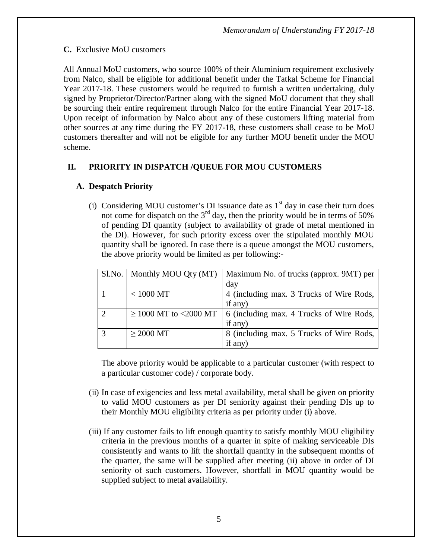# **C.** Exclusive MoU customers

All Annual MoU customers, who source 100% of their Aluminium requirement exclusively from Nalco, shall be eligible for additional benefit under the Tatkal Scheme for Financial Year 2017-18. These customers would be required to furnish a written undertaking, duly signed by Proprietor/Director/Partner along with the signed MoU document that they shall be sourcing their entire requirement through Nalco for the entire Financial Year 2017-18. Upon receipt of information by Nalco about any of these customers lifting material from other sources at any time during the FY 2017-18, these customers shall cease to be MoU customers thereafter and will not be eligible for any further MOU benefit under the MOU scheme.

# **II. PRIORITY IN DISPATCH /QUEUE FOR MOU CUSTOMERS**

# **A. Despatch Priority**

(i) Considering MOU customer's DI issuance date as  $1<sup>st</sup>$  day in case their turn does not come for dispatch on the  $3<sup>rd</sup>$  day, then the priority would be in terms of 50% of pending DI quantity (subject to availability of grade of metal mentioned in the DI). However, for such priority excess over the stipulated monthly MOU quantity shall be ignored. In case there is a queue amongst the MOU customers, the above priority would be limited as per following:-

|   | Sl.No.   Monthly MOU Qty (MT) | Maximum No. of trucks (approx. 9MT) per                               |
|---|-------------------------------|-----------------------------------------------------------------------|
|   |                               | day                                                                   |
|   | $< 1000$ MT                   | 4 (including max. 3 Trucks of Wire Rods,                              |
|   |                               | if any)                                                               |
| 2 |                               | $\geq$ 1000 MT to <2000 MT   6 (including max. 4 Trucks of Wire Rods, |
|   |                               | if any)                                                               |
|   | $>$ 2000 MT                   | 8 (including max. 5 Trucks of Wire Rods,                              |
|   |                               | if any)                                                               |

The above priority would be applicable to a particular customer (with respect to a particular customer code) / corporate body.

- (ii) In case of exigencies and less metal availability, metal shall be given on priority to valid MOU customers as per DI seniority against their pending DIs up to their Monthly MOU eligibility criteria as per priority under (i) above.
- (iii) If any customer fails to lift enough quantity to satisfy monthly MOU eligibility criteria in the previous months of a quarter in spite of making serviceable DIs consistently and wants to lift the shortfall quantity in the subsequent months of the quarter, the same will be supplied after meeting (ii) above in order of DI seniority of such customers. However, shortfall in MOU quantity would be supplied subject to metal availability.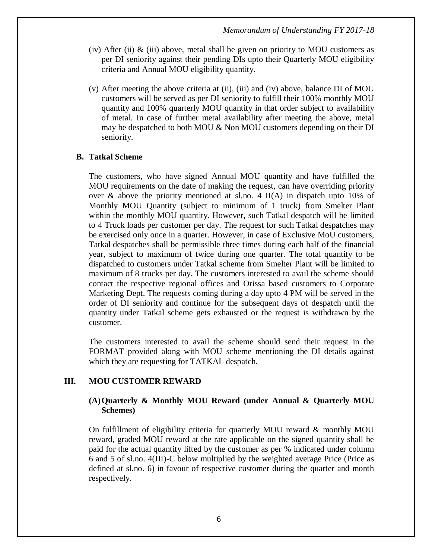- (iv) After (ii)  $\&$  (iii) above, metal shall be given on priority to MOU customers as per DI seniority against their pending DIs upto their Quarterly MOU eligibility criteria and Annual MOU eligibility quantity.
- (v) After meeting the above criteria at (ii), (iii) and (iv) above, balance DI of MOU customers will be served as per DI seniority to fulfill their 100% monthly MOU quantity and 100% quarterly MOU quantity in that order subject to availability of metal. In case of further metal availability after meeting the above, metal may be despatched to both MOU & Non MOU customers depending on their DI seniority.

#### **B. Tatkal Scheme**

The customers, who have signed Annual MOU quantity and have fulfilled the MOU requirements on the date of making the request, can have overriding priority over & above the priority mentioned at sl.no. 4  $II(A)$  in dispatch upto 10% of Monthly MOU Quantity (subject to minimum of 1 truck) from Smelter Plant within the monthly MOU quantity. However, such Tatkal despatch will be limited to 4 Truck loads per customer per day. The request for such Tatkal despatches may be exercised only once in a quarter. However, in case of Exclusive MoU customers, Tatkal despatches shall be permissible three times during each half of the financial year, subject to maximum of twice during one quarter. The total quantity to be dispatched to customers under Tatkal scheme from Smelter Plant will be limited to maximum of 8 trucks per day. The customers interested to avail the scheme should contact the respective regional offices and Orissa based customers to Corporate Marketing Dept. The requests coming during a day upto 4 PM will be served in the order of DI seniority and continue for the subsequent days of despatch until the quantity under Tatkal scheme gets exhausted or the request is withdrawn by the customer.

The customers interested to avail the scheme should send their request in the FORMAT provided along with MOU scheme mentioning the DI details against which they are requesting for TATKAL despatch.

#### **III. MOU CUSTOMER REWARD**

#### **(A)Quarterly & Monthly MOU Reward (under Annual & Quarterly MOU Schemes)**

On fulfillment of eligibility criteria for quarterly MOU reward & monthly MOU reward, graded MOU reward at the rate applicable on the signed quantity shall be paid for the actual quantity lifted by the customer as per % indicated under column 6 and 5 of sl.no. 4(III)-C below multiplied by the weighted average Price (Price as defined at sl.no. 6) in favour of respective customer during the quarter and month respectively.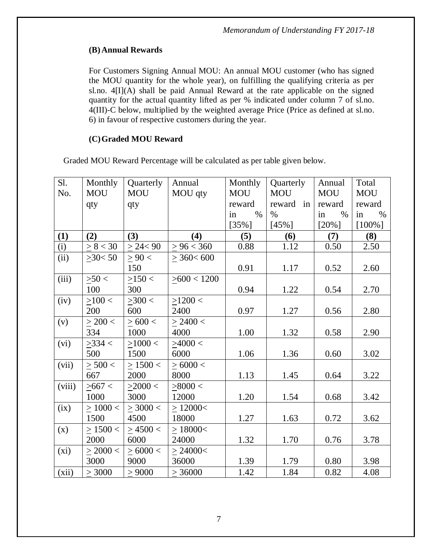# **(B) Annual Rewards**

For Customers Signing Annual MOU: An annual MOU customer (who has signed the MOU quantity for the whole year), on fulfilling the qualifying criteria as per sl.no.  $4\text{II}(A)$  shall be paid Annual Reward at the rate applicable on the signed quantity for the actual quantity lifted as per % indicated under column 7 of sl.no. 4(III)-C below, multiplied by the weighted average Price (Price as defined at sl.no. 6) in favour of respective customers during the year.

# **(C)Graded MOU Reward**

Graded MOU Reward Percentage will be calculated as per table given below.

| Sl.    | Monthly       | Quarterly     | Annual          | Monthly    | Quarterly    | Annual     | Total      |
|--------|---------------|---------------|-----------------|------------|--------------|------------|------------|
| No.    | <b>MOU</b>    | <b>MOU</b>    | MOU qty         | <b>MOU</b> | <b>MOU</b>   | <b>MOU</b> | <b>MOU</b> |
|        | qty           | qty           |                 | reward     | reward<br>in | reward     | reward     |
|        |               |               |                 | $\%$<br>in | $\%$         | $\%$<br>in | in<br>$\%$ |
|        |               |               |                 | $[35\%]$   | $[45\%]$     | $[20\%]$   | $[100\%]$  |
| (1)    | (2)           | (3)           | (4)             | (5)        | (6)          | (7)        | (8)        |
| (i)    | > 8 < 30      | $\geq$ 24< 90 | > 96 < 360      | 0.88       | 1.12         | 0.50       | 2.50       |
| (ii)   | >30 < 50      | > 90 <        | $>$ 360 $<$ 600 |            |              |            |            |
|        |               | 150           |                 | 0.91       | 1.17         | 0.52       | 2.60       |
| (iii)  | $\geq 50$ <   | >150<         | >600 < 1200     |            |              |            |            |
|        | 100           | 300           |                 | 0.94       | 1.22         | 0.54       | 2.70       |
| (iv)   | >100<         | >300<         | $>1200$ <       |            |              |            |            |
|        | 200           | 600           | 2400            | 0.97       | 1.27         | 0.56       | 2.80       |
| (v)    | $>$ 200 $<$   | > 600 <       | > 2400 <        |            |              |            |            |
|        | 334           | 1000          | 4000            | 1.00       | 1.32         | 0.58       | 2.90       |
| (vi)   | $>334$ <      | >1000<        | >4000<          |            |              |            |            |
|        | 500           | 1500          | 6000            | 1.06       | 1.36         | 0.60       | 3.02       |
| (vii)  | >500<         | > 1500 <      | > 6000 <        |            |              |            |            |
|        | 667           | 2000          | 8000            | 1.13       | 1.45         | 0.64       | 3.22       |
| (viii) | > 667 <       | >2000<        | > 8000 <        |            |              |            |            |
|        | 1000          | 3000          | 12000           | 1.20       | 1.54         | 0.68       | 3.42       |
| (ix)   | >1000<        | > 3000 <      | $\geq$ 12000<   |            |              |            |            |
|        | 1500          | 4500          | 18000           | 1.27       | 1.63         | 0.72       | 3.62       |
| (x)    | $\geq 1500$ < | >4500<        | $\geq$ 18000<   |            |              |            |            |
|        | 2000          | 6000          | 24000           | 1.32       | 1.70         | 0.76       | 3.78       |
| (xi)   | $\geq$ 2000 < | >6000<        | > 24000<        |            |              |            |            |
|        | 3000          | 9000          | 36000           | 1.39       | 1.79         | 0.80       | 3.98       |
| (xii)  | > 3000        | $\geq$ 9000   | > 36000         | 1.42       | 1.84         | 0.82       | 4.08       |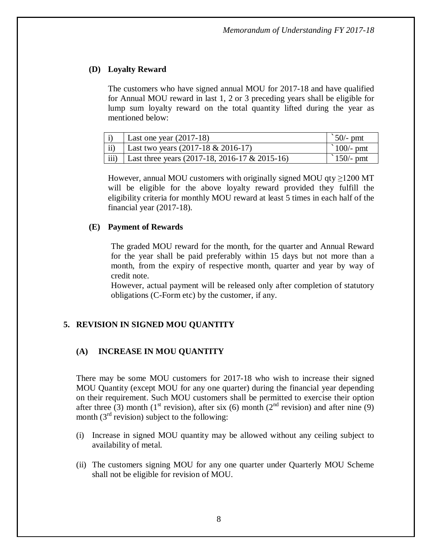### **(D) Loyalty Reward**

The customers who have signed annual MOU for 2017-18 and have qualified for Annual MOU reward in last 1, 2 or 3 preceding years shall be eligible for lump sum loyalty reward on the total quantity lifted during the year as mentioned below:

| Last one year $(2017-18)$                             | $\degree$ 50/- pmt  |
|-------------------------------------------------------|---------------------|
| Last two years $(2017-18 \& 2016-17)$                 | $\degree$ 100/- pmt |
| iii) Last three years $(2017-18, 2016-17 \& 2015-16)$ | $\degree$ 150/- pmt |

However, annual MOU customers with originally signed MOU qty  $\geq$ 1200 MT will be eligible for the above loyalty reward provided they fulfill the eligibility criteria for monthly MOU reward at least 5 times in each half of the financial year (2017-18).

### **(E) Payment of Rewards**

The graded MOU reward for the month, for the quarter and Annual Reward for the year shall be paid preferably within 15 days but not more than a month, from the expiry of respective month, quarter and year by way of credit note.

However, actual payment will be released only after completion of statutory obligations (C-Form etc) by the customer, if any.

### **5. REVISION IN SIGNED MOU QUANTITY**

### **(A) INCREASE IN MOU QUANTITY**

There may be some MOU customers for 2017-18 who wish to increase their signed MOU Quantity (except MOU for any one quarter) during the financial year depending on their requirement. Such MOU customers shall be permitted to exercise their option after three (3) month (1<sup>st</sup> revision), after six (6) month (2<sup>nd</sup> revision) and after nine (9) month  $(3<sup>rd</sup>$  revision) subject to the following:

- (i) Increase in signed MOU quantity may be allowed without any ceiling subject to availability of metal.
- (ii) The customers signing MOU for any one quarter under Quarterly MOU Scheme shall not be eligible for revision of MOU.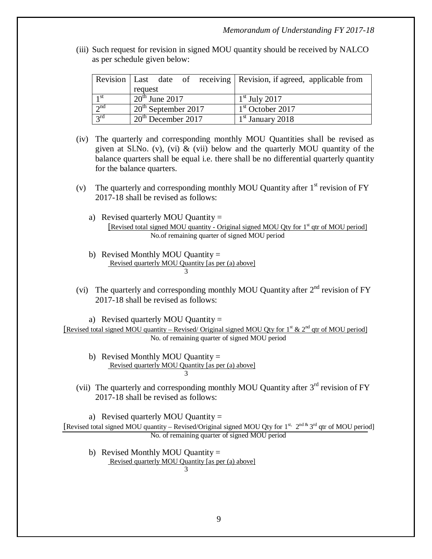(iii) Such request for revision in signed MOU quantity should be received by NALCO as per schedule given below:

|                 |                       |  |  | Revision   Last date of receiving   Revision, if agreed, applicable from |
|-----------------|-----------------------|--|--|--------------------------------------------------------------------------|
|                 | request               |  |  |                                                                          |
| 1 <sup>st</sup> | $20th$ June 2017      |  |  | $1st$ July 2017                                                          |
| $2^{nd}$        | $20th$ September 2017 |  |  | $1st$ October 2017                                                       |
| $2^{rd}$        | $20th$ December 2017  |  |  | $1st$ January 2018                                                       |

- (iv) The quarterly and corresponding monthly MOU Quantities shall be revised as given at Sl.No. (v), (vi)  $\&$  (vii) below and the quarterly MOU quantity of the balance quarters shall be equal i.e. there shall be no differential quarterly quantity for the balance quarters.
- (v) The quarterly and corresponding monthly MOU Quantity after  $1<sup>st</sup>$  revision of FY 2017-18 shall be revised as follows:
	- a) Revised quarterly MOU Quantity = [Revised total signed MOU quantity - Original signed MOU Qty for  $1<sup>st</sup>$  qtr of MOU period] No.of remaining quarter of signed MOU period
	- b) Revised Monthly MOU Quantity  $=$ Revised quarterly MOU Quantity [as per (a) above] 3
- (vi) The quarterly and corresponding monthly MOU Quantity after  $2<sup>nd</sup>$  revision of FY 2017-18 shall be revised as follows:

a) Revised quarterly MOU Quantity = [Revised total signed MOU quantity – Revised/ Original signed MOU Qty for  $1<sup>st</sup> \& 2<sup>nd</sup>$  qtr of MOU period] No. of remaining quarter of signed MOU period

- b) Revised Monthly MOU Quantity  $=$ Revised quarterly MOU Quantity [as per (a) above] 3
- (vii) The quarterly and corresponding monthly MOU Quantity after  $3<sup>rd</sup>$  revision of FY 2017-18 shall be revised as follows:

a) Revised quarterly MOU Quantity  $=$ [Revised total signed MOU quantity – Revised/Original signed MOU Qty for 1<sup>st, 2nd &</sup> 3<sup>rd</sup> qtr of MOU period] No. of remaining quarter of signed MOU period

b) Revised Monthly MOU Quantity = Revised quarterly MOU Quantity [as per (a) above] 3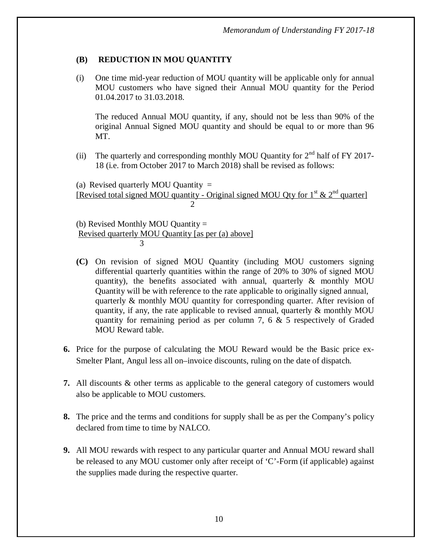# **(B) REDUCTION IN MOU QUANTITY**

(i) One time mid-year reduction of MOU quantity will be applicable only for annual MOU customers who have signed their Annual MOU quantity for the Period 01.04.2017 to 31.03.2018.

The reduced Annual MOU quantity, if any, should not be less than 90% of the original Annual Signed MOU quantity and should be equal to or more than 96 MT.

(ii) The quarterly and corresponding monthly MOU Quantity for  $2<sup>nd</sup>$  half of FY 2017-18 (i.e. from October 2017 to March 2018) shall be revised as follows:

(a) Revised quarterly MOU Quantity  $=$ [Revised total signed MOU quantity - Original signed MOU Qty for  $1<sup>st</sup> \& 2<sup>nd</sup>$  quarter]  $\mathcal{D}$ 

(b) Revised Monthly MOU Quantity = Revised quarterly MOU Quantity [as per (a) above] 3

- **(C)** On revision of signed MOU Quantity (including MOU customers signing differential quarterly quantities within the range of 20% to 30% of signed MOU quantity), the benefits associated with annual, quarterly & monthly MOU Quantity will be with reference to the rate applicable to originally signed annual, quarterly & monthly MOU quantity for corresponding quarter. After revision of quantity, if any, the rate applicable to revised annual, quarterly & monthly MOU quantity for remaining period as per column 7, 6 & 5 respectively of Graded MOU Reward table.
- **6.** Price for the purpose of calculating the MOU Reward would be the Basic price ex-Smelter Plant, Angul less all on–invoice discounts, ruling on the date of dispatch.
- **7.** All discounts & other terms as applicable to the general category of customers would also be applicable to MOU customers.
- **8.** The price and the terms and conditions for supply shall be as per the Company's policy declared from time to time by NALCO.
- **9.** All MOU rewards with respect to any particular quarter and Annual MOU reward shall be released to any MOU customer only after receipt of 'C'-Form (if applicable) against the supplies made during the respective quarter.